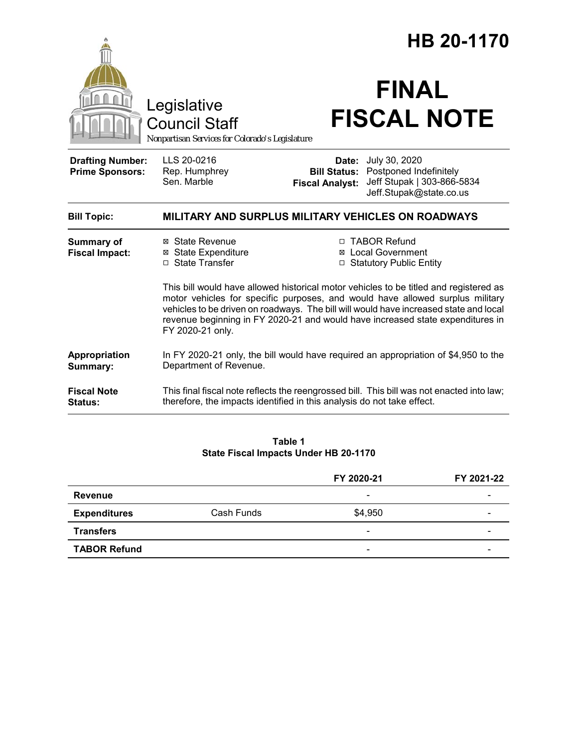|                                                   |                                                                                                                                                                                                                                                                                                                                                                       | HB 20-1170                                                                                                                                                          |  |  |
|---------------------------------------------------|-----------------------------------------------------------------------------------------------------------------------------------------------------------------------------------------------------------------------------------------------------------------------------------------------------------------------------------------------------------------------|---------------------------------------------------------------------------------------------------------------------------------------------------------------------|--|--|
|                                                   | Legislative<br><b>Council Staff</b><br>Nonpartisan Services for Colorado's Legislature                                                                                                                                                                                                                                                                                | <b>FINAL</b><br><b>FISCAL NOTE</b>                                                                                                                                  |  |  |
| <b>Drafting Number:</b><br><b>Prime Sponsors:</b> | LLS 20-0216<br>Rep. Humphrey<br>Sen. Marble                                                                                                                                                                                                                                                                                                                           | July 30, 2020<br>Date:<br>Postponed Indefinitely<br><b>Bill Status:</b><br>Jeff Stupak   303-866-5834<br><b>Fiscal Analyst:</b><br>Jeff.Stupak@state.co.us          |  |  |
| <b>Bill Topic:</b>                                | MILITARY AND SURPLUS MILITARY VEHICLES ON ROADWAYS                                                                                                                                                                                                                                                                                                                    |                                                                                                                                                                     |  |  |
| <b>Summary of</b><br><b>Fiscal Impact:</b>        | ⊠ State Revenue<br><b>⊠</b> State Expenditure<br>□ State Transfer                                                                                                                                                                                                                                                                                                     | □ TABOR Refund<br><b>Local Government</b><br>□ Statutory Public Entity                                                                                              |  |  |
|                                                   | This bill would have allowed historical motor vehicles to be titled and registered as<br>motor vehicles for specific purposes, and would have allowed surplus military<br>vehicles to be driven on roadways. The bill will would have increased state and local<br>revenue beginning in FY 2020-21 and would have increased state expenditures in<br>FY 2020-21 only. |                                                                                                                                                                     |  |  |
| Appropriation<br>Summary:                         | In FY 2020-21 only, the bill would have required an appropriation of \$4,950 to the<br>Department of Revenue.                                                                                                                                                                                                                                                         |                                                                                                                                                                     |  |  |
| <b>Fiscal Note</b><br>Status:                     |                                                                                                                                                                                                                                                                                                                                                                       | This final fiscal note reflects the reengrossed bill. This bill was not enacted into law;<br>therefore, the impacts identified in this analysis do not take effect. |  |  |

#### **Table 1 State Fiscal Impacts Under HB 20-1170**

|                     |            | FY 2020-21               | FY 2021-22 |
|---------------------|------------|--------------------------|------------|
| <b>Revenue</b>      |            | $\overline{\phantom{0}}$ | -          |
| <b>Expenditures</b> | Cash Funds | \$4,950                  | -          |
| <b>Transfers</b>    |            | $\overline{\phantom{0}}$ | -          |
| <b>TABOR Refund</b> |            | $\overline{\phantom{0}}$ |            |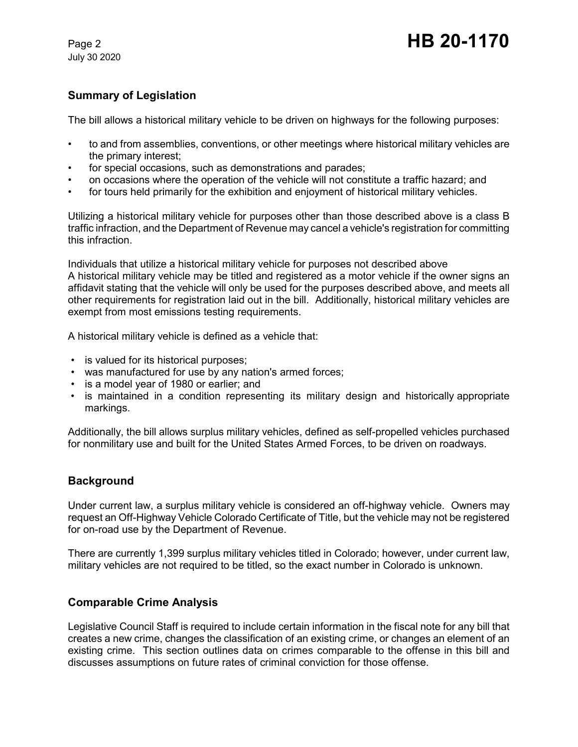July 30 2020

# Page 2 **HB 20-1170**

# **Summary of Legislation**

The bill allows a historical military vehicle to be driven on highways for the following purposes:

- to and from assemblies, conventions, or other meetings where historical military vehicles are the primary interest;
- for special occasions, such as demonstrations and parades;
- on occasions where the operation of the vehicle will not constitute a traffic hazard; and
- for tours held primarily for the exhibition and enjoyment of historical military vehicles.

Utilizing a historical military vehicle for purposes other than those described above is a class B traffic infraction, and the Department of Revenue may cancel a vehicle's registration for committing this infraction.

Individuals that utilize a historical military vehicle for purposes not described above A historical military vehicle may be titled and registered as a motor vehicle if the owner signs an affidavit stating that the vehicle will only be used for the purposes described above, and meets all other requirements for registration laid out in the bill. Additionally, historical military vehicles are exempt from most emissions testing requirements.

A historical military vehicle is defined as a vehicle that:

- is valued for its historical purposes;
- was manufactured for use by any nation's armed forces;
- is a model year of 1980 or earlier; and
- is maintained in a condition representing its military design and historically appropriate markings.

Additionally, the bill allows surplus military vehicles, defined as self-propelled vehicles purchased for nonmilitary use and built for the United States Armed Forces, to be driven on roadways.

#### **Background**

Under current law, a surplus military vehicle is considered an off-highway vehicle. Owners may request an Off-Highway Vehicle Colorado Certificate of Title, but the vehicle may not be registered for on-road use by the Department of Revenue.

There are currently 1,399 surplus military vehicles titled in Colorado; however, under current law, military vehicles are not required to be titled, so the exact number in Colorado is unknown.

## **Comparable Crime Analysis**

Legislative Council Staff is required to include certain information in the fiscal note for any bill that creates a new crime, changes the classification of an existing crime, or changes an element of an existing crime. This section outlines data on crimes comparable to the offense in this bill and discusses assumptions on future rates of criminal conviction for those offense.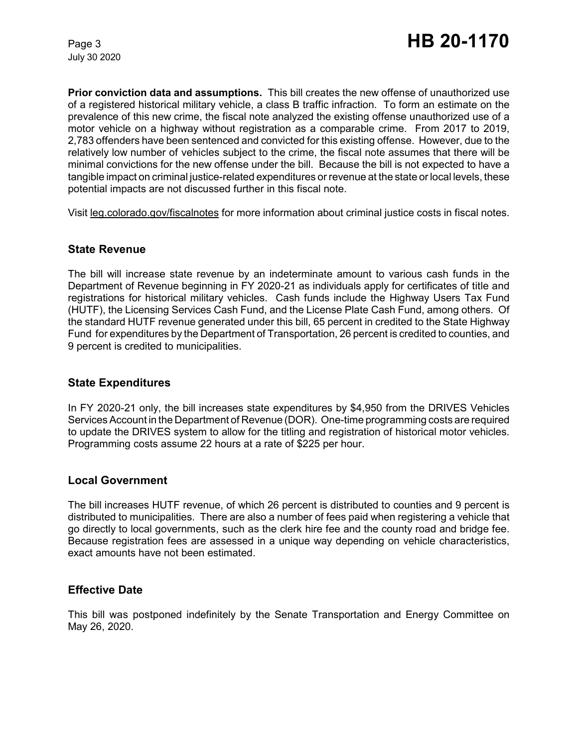July 30 2020

**Prior conviction data and assumptions.** This bill creates the new offense of unauthorized use of a registered historical military vehicle, a class B traffic infraction. To form an estimate on the prevalence of this new crime, the fiscal note analyzed the existing offense unauthorized use of a motor vehicle on a highway without registration as a comparable crime. From 2017 to 2019, 2,783 offenders have been sentenced and convicted for this existing offense. However, due to the relatively low number of vehicles subject to the crime, the fiscal note assumes that there will be minimal convictions for the new offense under the bill. Because the bill is not expected to have a tangible impact on criminal justice-related expenditures or revenue at the state or local levels, these potential impacts are not discussed further in this fiscal note.

Visit leg.colorado.gov/fiscalnotes for more information about criminal justice costs in fiscal notes.

#### **State Revenue**

The bill will increase state revenue by an indeterminate amount to various cash funds in the Department of Revenue beginning in FY 2020-21 as individuals apply for certificates of title and registrations for historical military vehicles. Cash funds include the Highway Users Tax Fund (HUTF), the Licensing Services Cash Fund, and the License Plate Cash Fund, among others. Of the standard HUTF revenue generated under this bill, 65 percent in credited to the State Highway Fund for expenditures by the Department of Transportation, 26 percent is credited to counties, and 9 percent is credited to municipalities.

## **State Expenditures**

In FY 2020-21 only, the bill increases state expenditures by \$4,950 from the DRIVES Vehicles Services Account in the Department of Revenue (DOR). One-time programming costs are required to update the DRIVES system to allow for the titling and registration of historical motor vehicles. Programming costs assume 22 hours at a rate of \$225 per hour.

#### **Local Government**

The bill increases HUTF revenue, of which 26 percent is distributed to counties and 9 percent is distributed to municipalities. There are also a number of fees paid when registering a vehicle that go directly to local governments, such as the clerk hire fee and the county road and bridge fee. Because registration fees are assessed in a unique way depending on vehicle characteristics, exact amounts have not been estimated.

## **Effective Date**

This bill was postponed indefinitely by the Senate Transportation and Energy Committee on May 26, 2020.